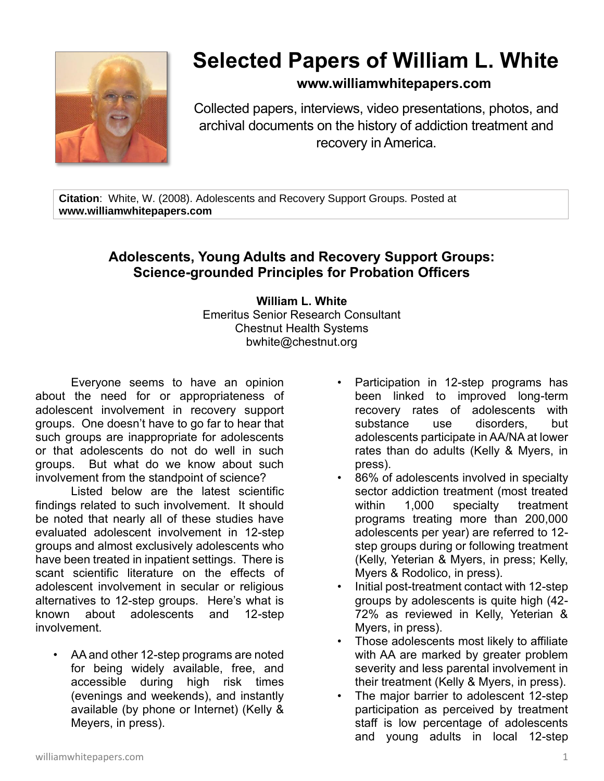

# **Selected Papers of William L. White**

### **www.williamwhitepapers.com**

Collected papers, interviews, video presentations, photos, and archival documents on the history of addiction treatment and recovery in America.

**Citation**: White, W. (2008). Adolescents and Recovery Support Groups. Posted at **www.williamwhitepapers.com**

## **Adolescents, Young Adults and Recovery Support Groups: Science-grounded Principles for Probation Officers**

**William L. White** Emeritus Senior Research Consultant Chestnut Health Systems bwhite@chestnut.org

Everyone seems to have an opinion about the need for or appropriateness of adolescent involvement in recovery support groups. One doesn't have to go far to hear that such groups are inappropriate for adolescents or that adolescents do not do well in such groups. But what do we know about such involvement from the standpoint of science?

Listed below are the latest scientific findings related to such involvement. It should be noted that nearly all of these studies have evaluated adolescent involvement in 12-step groups and almost exclusively adolescents who have been treated in inpatient settings. There is scant scientific literature on the effects of adolescent involvement in secular or religious alternatives to 12-step groups. Here's what is known about adolescents and 12-step involvement.

• AA and other 12-step programs are noted for being widely available, free, and accessible during high risk times (evenings and weekends), and instantly available (by phone or Internet) (Kelly & Meyers, in press).

- Participation in 12-step programs has been linked to improved long-term recovery rates of adolescents with substance use disorders, but adolescents participate in AA/NA at lower rates than do adults (Kelly & Myers, in press).
- 86% of adolescents involved in specialty sector addiction treatment (most treated within 1,000 specialty treatment programs treating more than 200,000 adolescents per year) are referred to 12 step groups during or following treatment (Kelly, Yeterian & Myers, in press; Kelly, Myers & Rodolico, in press).
- Initial post-treatment contact with 12-step groups by adolescents is quite high (42- 72% as reviewed in Kelly, Yeterian & Myers, in press).
- Those adolescents most likely to affiliate with AA are marked by greater problem severity and less parental involvement in their treatment (Kelly & Myers, in press).
- The major barrier to adolescent 12-step participation as perceived by treatment staff is low percentage of adolescents and young adults in local 12-step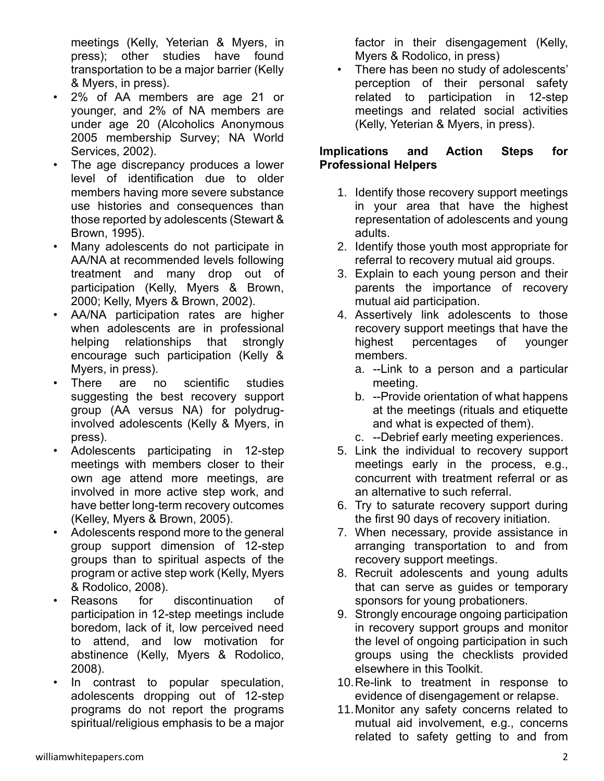meetings (Kelly, Yeterian & Myers, in press); other studies have found transportation to be a major barrier (Kelly & Myers, in press).

- 2% of AA members are age 21 or younger, and 2% of NA members are under age 20 (Alcoholics Anonymous 2005 membership Survey; NA World Services, 2002).
- The age discrepancy produces a lower level of identification due to older members having more severe substance use histories and consequences than those reported by adolescents (Stewart & Brown, 1995).
- Many adolescents do not participate in AA/NA at recommended levels following treatment and many drop out of participation (Kelly, Myers & Brown, 2000; Kelly, Myers & Brown, 2002).
- AA/NA participation rates are higher when adolescents are in professional helping relationships that strongly encourage such participation (Kelly & Myers, in press).
- There are no scientific studies suggesting the best recovery support group (AA versus NA) for polydruginvolved adolescents (Kelly & Myers, in press).
- Adolescents participating in 12-step meetings with members closer to their own age attend more meetings, are involved in more active step work, and have better long-term recovery outcomes (Kelley, Myers & Brown, 2005).
- Adolescents respond more to the general group support dimension of 12-step groups than to spiritual aspects of the program or active step work (Kelly, Myers & Rodolico, 2008).
- Reasons for discontinuation of participation in 12-step meetings include boredom, lack of it, low perceived need to attend, and low motivation for abstinence (Kelly, Myers & Rodolico, 2008).
- In contrast to popular speculation, adolescents dropping out of 12-step programs do not report the programs spiritual/religious emphasis to be a major

factor in their disengagement (Kelly, Myers & Rodolico, in press)

There has been no study of adolescents' perception of their personal safety related to participation in 12-step meetings and related social activities (Kelly, Yeterian & Myers, in press).

#### **Implications and Action Steps for Professional Helpers**

- 1. Identify those recovery support meetings in your area that have the highest representation of adolescents and young adults.
- 2. Identify those youth most appropriate for referral to recovery mutual aid groups.
- 3. Explain to each young person and their parents the importance of recovery mutual aid participation.
- 4. Assertively link adolescents to those recovery support meetings that have the highest percentages of younger members.
	- a. --Link to a person and a particular meeting.
	- b. --Provide orientation of what happens at the meetings (rituals and etiquette and what is expected of them).
	- c. --Debrief early meeting experiences.
- 5. Link the individual to recovery support meetings early in the process, e.g., concurrent with treatment referral or as an alternative to such referral.
- 6. Try to saturate recovery support during the first 90 days of recovery initiation.
- 7. When necessary, provide assistance in arranging transportation to and from recovery support meetings.
- 8. Recruit adolescents and young adults that can serve as guides or temporary sponsors for young probationers.
- 9. Strongly encourage ongoing participation in recovery support groups and monitor the level of ongoing participation in such groups using the checklists provided elsewhere in this Toolkit.
- 10.Re-link to treatment in response to evidence of disengagement or relapse.
- 11.Monitor any safety concerns related to mutual aid involvement, e.g., concerns related to safety getting to and from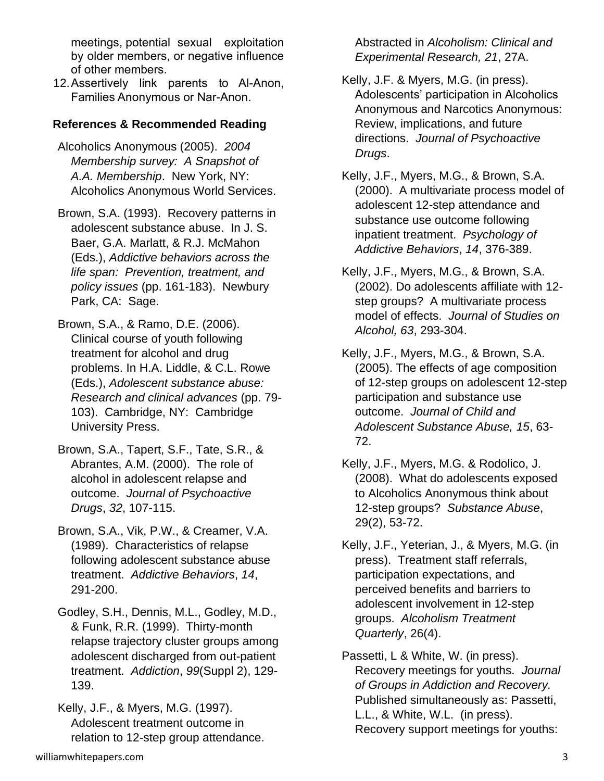meetings, potential sexual exploitation by older members, or negative influence of other members.

12.Assertively link parents to Al-Anon, Families Anonymous or Nar-Anon.

#### **References & Recommended Reading**

- Alcoholics Anonymous (2005). *2004 Membership survey: A Snapshot of A.A. Membership*. New York, NY: Alcoholics Anonymous World Services.
- Brown, S.A. (1993). Recovery patterns in adolescent substance abuse. In J. S. Baer, G.A. Marlatt, & R.J. McMahon (Eds.), *Addictive behaviors across the life span: Prevention, treatment, and policy issues* (pp. 161-183). Newbury Park, CA: Sage.
- Brown, S.A., & Ramo, D.E. (2006). Clinical course of youth following treatment for alcohol and drug problems. In H.A. Liddle, & C.L. Rowe (Eds.), *Adolescent substance abuse: Research and clinical advances* (pp. 79- 103). Cambridge, NY: Cambridge University Press.
- Brown, S.A., Tapert, S.F., Tate, S.R., & Abrantes, A.M. (2000). The role of alcohol in adolescent relapse and outcome. *Journal of Psychoactive Drugs*, *32*, 107-115.
- Brown, S.A., Vik, P.W., & Creamer, V.A. (1989). Characteristics of relapse following adolescent substance abuse treatment. *Addictive Behaviors*, *14*, 291-200.
- Godley, S.H., Dennis, M.L., Godley, M.D., & Funk, R.R. (1999). Thirty-month relapse trajectory cluster groups among adolescent discharged from out-patient treatment. *Addiction*, *99*(Suppl 2), 129- 139.

Kelly, J.F., & Myers, M.G. (1997). Adolescent treatment outcome in relation to 12-step group attendance.

- Kelly, J.F. & Myers, M.G. (in press). Adolescents' participation in Alcoholics Anonymous and Narcotics Anonymous: Review, implications, and future directions. *Journal of Psychoactive Drugs*.
- Kelly, J.F., Myers, M.G., & Brown, S.A. (2000). A multivariate process model of adolescent 12-step attendance and substance use outcome following inpatient treatment. *Psychology of Addictive Behaviors*, *14*, 376-389.
- Kelly, J.F., Myers, M.G., & Brown, S.A. (2002). Do adolescents affiliate with 12 step groups? A multivariate process model of effects. *Journal of Studies on Alcohol, 63*, 293-304.
- Kelly, J.F., Myers, M.G., & Brown, S.A. (2005). The effects of age composition of 12-step groups on adolescent 12-step participation and substance use outcome. *Journal of Child and Adolescent Substance Abuse, 15*, 63- 72.
- Kelly, J.F., Myers, M.G. & Rodolico, J. (2008). What do adolescents exposed to Alcoholics Anonymous think about 12-step groups? *Substance Abuse*, 29(2), 53-72.
- Kelly, J.F., Yeterian, J., & Myers, M.G. (in press). Treatment staff referrals, participation expectations, and perceived benefits and barriers to adolescent involvement in 12-step groups. *Alcoholism Treatment Quarterly*, 26(4).
- Passetti, L & White, W. (in press). Recovery meetings for youths. *Journal of Groups in Addiction and Recovery.*  Published simultaneously as: Passetti, L.L., & White, W.L. (in press). Recovery support meetings for youths: